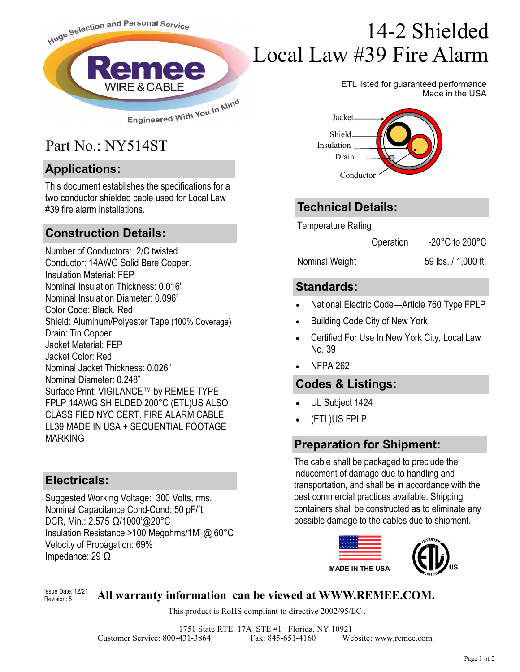

## Part No.: NY514ST

#### **Applications:**

This document establishes the specifications for a two conductor shielded cable used for Local Law #39 fire alarm installations.

#### **Construction Details:**

Number of Conductors: 2/C twisted Conductor: 14AWG Solid Bare Copper. Insulation Material: FEP Nominal Insulation Thickness: 0.016" Nominal Insulation Diameter: 0.096" Color Code: Black, Red Shield: Aluminum/Polyester Tape (100% Coverage) Drain: Tin Copper Jacket Material: FEP Jacket Color: Red Nominal Jacket Thickness: 0.026" Nominal Diameter: 0.248" Surface Print: VIGILANCE™ by REMEE TYPE FPLP 14AWG SHIELDED 200°C (ETL)US ALSO CLASSIFIED NYC CERT. FIRE ALARM CABLE LL39 MADE IN USA + SEQUENTIAL FOOTAGE MARKING

#### **Electricals:**

Suggested Working Voltage: 300 Volts, rms. Nominal Capacitance Cond-Cond: 50 pF/ft. DCR, Min.: 2.575 Ω/1000'@20°C Insulation Resistance:>100 Megohms/1M' @ 60°C Velocity of Propagation: 69% Impedance: 29 Ω

# 14-2 Shielded Local Law #39 Fire Alarm

ETL listed for guaranteed performance Made in the USA



### **Technical Details:**

Temperature Rating

Operation -20°C to 200°C

Nominal Weight 59 lbs. / 1,000 ft.

#### **Standards:**

- National Electric Code—Article 760 Type FPLP
- Building Code City of New York
- Certified For Use In New York City, Local Law No. 39
- NFPA 262

#### **Codes & Listings:**

- UL Subject 1424
- (ETL)US FPLP

#### **Preparation for Shipment:**

The cable shall be packaged to preclude the inducement of damage due to handling and transportation, and shall be in accordance with the best commercial practices available. Shipping containers shall be constructed as to eliminate any possible damage to the cables due to shipment.



#### $\frac{U_{\text{SME}}}{B_{\text{Poisson}} \cdot 5}$  All warranty information can be viewed at WWW.REMEE.COM. Revision: 5

This product is RoHS compliant to directive 2002/95/EC .